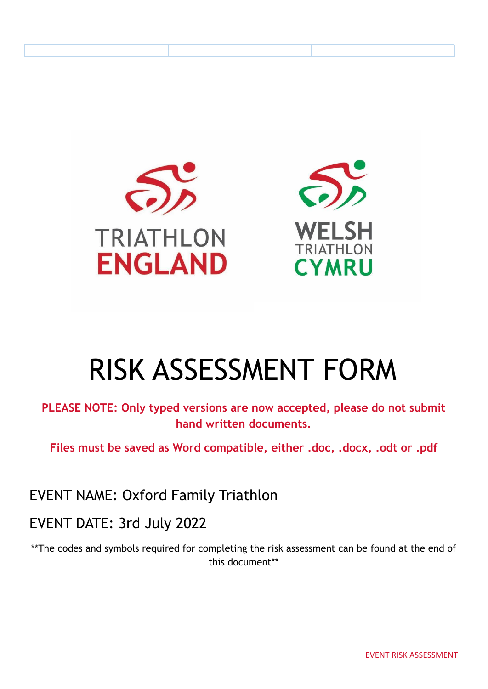



# RISK ASSESSMENT FORM

**PLEASE NOTE: Only typed versions are now accepted, please do not submit hand written documents.**

**Files must be saved as Word compatible, either .doc, .docx, .odt or .pdf**

EVENT NAME: Oxford Family Triathlon

EVENT DATE: 3rd July 2022

\*\*The codes and symbols required for completing the risk assessment can be found at the end of this document\*\*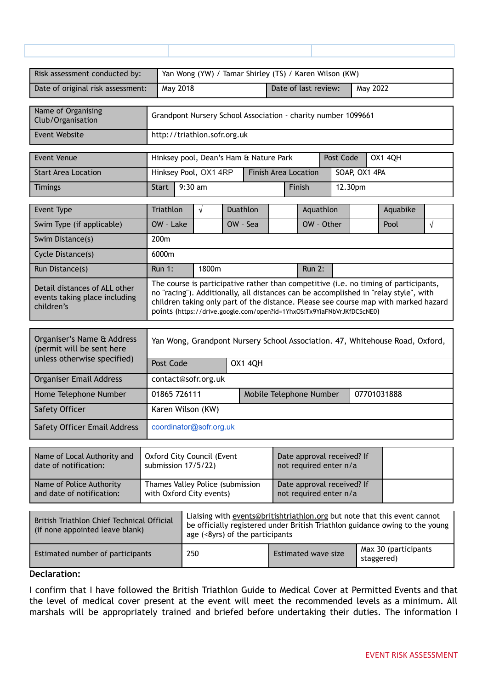| Risk assessment conducted by:                                                          | Yan Wong (YW) / Tamar Shirley (TS) / Karen Wilson (KW)                 |                                                               |  |                |                      |                                                      |               |           |               |                |                                                                                                                                                                                                                                                                     |            |
|----------------------------------------------------------------------------------------|------------------------------------------------------------------------|---------------------------------------------------------------|--|----------------|----------------------|------------------------------------------------------|---------------|-----------|---------------|----------------|---------------------------------------------------------------------------------------------------------------------------------------------------------------------------------------------------------------------------------------------------------------------|------------|
| Date of original risk assessment:                                                      |                                                                        | May 2018                                                      |  |                | Date of last review: |                                                      |               | May 2022  |               |                |                                                                                                                                                                                                                                                                     |            |
| Name of Organising<br>Club/Organisation                                                |                                                                        | Grandpont Nursery School Association - charity number 1099661 |  |                |                      |                                                      |               |           |               |                |                                                                                                                                                                                                                                                                     |            |
| Event Website                                                                          | http://triathlon.sofr.org.uk                                           |                                                               |  |                |                      |                                                      |               |           |               |                |                                                                                                                                                                                                                                                                     |            |
| <b>Event Venue</b>                                                                     | Hinksey pool, Dean's Ham & Nature Park                                 |                                                               |  |                |                      |                                                      |               | Post Code |               | <b>OX1 4QH</b> |                                                                                                                                                                                                                                                                     |            |
| <b>Start Area Location</b>                                                             | Hinksey Pool, OX1 4RP                                                  |                                                               |  |                |                      | <b>Finish Area Location</b>                          |               |           | SOAP, OX1 4PA |                |                                                                                                                                                                                                                                                                     |            |
| <b>Timings</b>                                                                         | <b>Start</b>                                                           | $9:30$ am                                                     |  |                |                      | Finish                                               |               |           | 12.30pm       |                |                                                                                                                                                                                                                                                                     |            |
| Event Type                                                                             | Triathlon                                                              | $\sqrt{ }$                                                    |  | Duathlon       |                      |                                                      | Aquathlon     |           |               |                | Aquabike                                                                                                                                                                                                                                                            |            |
| Swim Type (if applicable)                                                              | OW - Lake                                                              |                                                               |  | OW - Sea       |                      |                                                      | OW - Other    |           |               |                | Pool                                                                                                                                                                                                                                                                | $\sqrt{ }$ |
| Swim Distance(s)                                                                       | 200m                                                                   |                                                               |  |                |                      |                                                      |               |           |               |                |                                                                                                                                                                                                                                                                     |            |
| Cycle Distance(s)                                                                      | 6000m                                                                  |                                                               |  |                |                      |                                                      |               |           |               |                |                                                                                                                                                                                                                                                                     |            |
| Run Distance(s)                                                                        | <b>Run 1:</b>                                                          | 1800m                                                         |  |                |                      |                                                      | <b>Run 2:</b> |           |               |                |                                                                                                                                                                                                                                                                     |            |
| Detail distances of ALL other<br>events taking place including<br>children's           | points (https://drive.google.com/open?id=1YhxOSiTx9YiaFNbVrJKfDCScNE0) |                                                               |  |                |                      |                                                      |               |           |               |                | The course is participative rather than competitive (i.e. no timing of participants,<br>no "racing"). Additionally, all distances can be accomplished in "relay style", with<br>children taking only part of the distance. Please see course map with marked hazard |            |
| Organiser's Name & Address<br>(permit will be sent here<br>unless otherwise specified) | Post Code                                                              |                                                               |  | <b>OX1 4QH</b> |                      |                                                      |               |           |               |                | Yan Wong, Grandpont Nursery School Association. 47, Whitehouse Road, Oxford,                                                                                                                                                                                        |            |
| <b>Organiser Email Address</b>                                                         | contact@sofr.org.uk                                                    |                                                               |  |                |                      |                                                      |               |           |               |                |                                                                                                                                                                                                                                                                     |            |
| Home Telephone Number                                                                  | 01865 726111                                                           |                                                               |  |                |                      | Mobile Telephone Number                              |               |           |               | 07701031888    |                                                                                                                                                                                                                                                                     |            |
| Safety Officer                                                                         | Karen Wilson (KW)                                                      |                                                               |  |                |                      |                                                      |               |           |               |                |                                                                                                                                                                                                                                                                     |            |
| <b>Safety Officer Email Address</b>                                                    | coordinator@sofr.org.uk                                                |                                                               |  |                |                      |                                                      |               |           |               |                |                                                                                                                                                                                                                                                                     |            |
| Name of Local Authority and<br>date of notification:                                   | Oxford City Council (Event<br>submission 17/5/22)                      |                                                               |  |                |                      | Date approval received? If<br>not required enter n/a |               |           |               |                |                                                                                                                                                                                                                                                                     |            |

| date of notification:     | submission 17/5/22)              | not required enter n/a     |  |
|---------------------------|----------------------------------|----------------------------|--|
| Name of Police Authority  | Thames Valley Police (submission | Date approval received? If |  |
| and date of notification: | with Oxford City events)         | not required enter n/a     |  |

| British Triathlon Chief Technical Official<br>(if none appointed leave blank) | Liaising with events@britishtriathlon.org but note that this event cannot<br>be officially registered under British Triathlon guidance owing to the young<br>age (<8yrs) of the participants |                     |                                    |  |  |  |
|-------------------------------------------------------------------------------|----------------------------------------------------------------------------------------------------------------------------------------------------------------------------------------------|---------------------|------------------------------------|--|--|--|
| Estimated number of participants                                              | 250                                                                                                                                                                                          | Estimated wave size | Max 30 (participants<br>staggered) |  |  |  |

#### **Declaration:**

I confirm that I have followed the British Triathlon Guide to Medical Cover at Permitted Events and that the level of medical cover present at the event will meet the recommended levels as a minimum. All marshals will be appropriately trained and briefed before undertaking their duties. The information I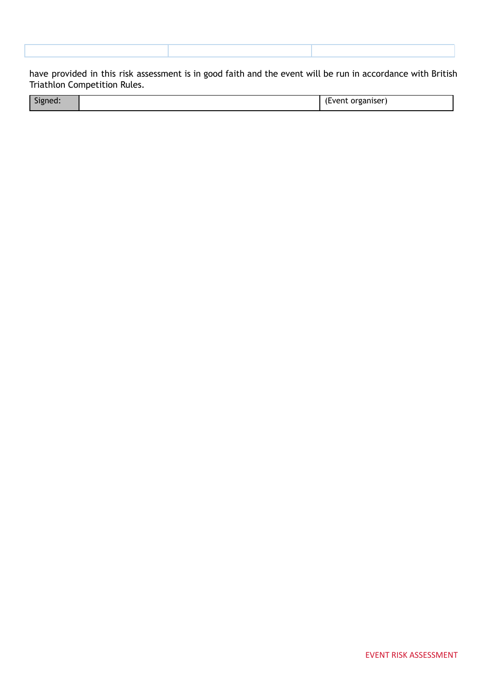have provided in this risk assessment is in good faith and the event will be run in accordance with British Triathlon Competition Rules.

| .<br>. |
|--------|
|--------|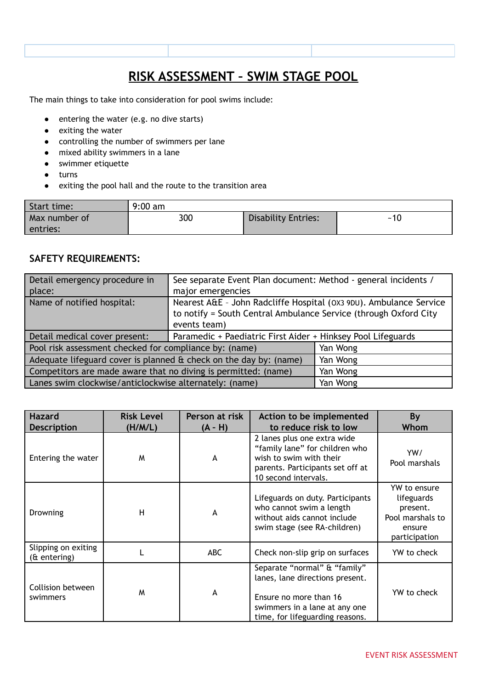## **RISK ASSESSMENT – SWIM STAGE POOL**

The main things to take into consideration for pool swims include:

- entering the water (e.g. no dive starts)
- exiting the water
- controlling the number of swimmers per lane
- mixed ability swimmers in a lane
- swimmer etiquette
- turns
- exiting the pool hall and the route to the transition area

| Start time:   | $9:00$ am |                     |     |
|---------------|-----------|---------------------|-----|
| Max number of | 300       | Disability Entries: | ~10 |
| entries:      |           |                     |     |

#### **SAFETY REQUIREMENTS:**

| Detail emergency procedure in                                            | See separate Event Plan document: Method - general incidents /                                                                                         |          |  |  |  |
|--------------------------------------------------------------------------|--------------------------------------------------------------------------------------------------------------------------------------------------------|----------|--|--|--|
| place:                                                                   | major emergencies                                                                                                                                      |          |  |  |  |
| Name of notified hospital:                                               | Nearest A&E - John Radcliffe Hospital (OX3 9DU). Ambulance Service<br>to notify = South Central Ambulance Service (through Oxford City<br>events team) |          |  |  |  |
| Detail medical cover present:                                            | Paramedic + Paediatric First Aider + Hinksey Pool Lifeguards                                                                                           |          |  |  |  |
| Pool risk assessment checked for compliance by: (name)                   |                                                                                                                                                        | Yan Wong |  |  |  |
| Adequate lifeguard cover is planned $\alpha$ check on the day by: (name) | Yan Wong                                                                                                                                               |          |  |  |  |
| Competitors are made aware that no diving is permitted: (name)           | Yan Wong                                                                                                                                               |          |  |  |  |
| Lanes swim clockwise/anticlockwise alternately: (name)                   |                                                                                                                                                        | Yan Wong |  |  |  |

| <b>Hazard</b><br><b>Description</b>    | <b>Risk Level</b><br>(H/M/L) | Person at risk<br>$(A - H)$ | Action to be implemented<br>to reduce risk to low                                                                                                             | By<br>Whom                                                                            |
|----------------------------------------|------------------------------|-----------------------------|---------------------------------------------------------------------------------------------------------------------------------------------------------------|---------------------------------------------------------------------------------------|
| Entering the water                     | M                            | A                           | 2 lanes plus one extra wide<br>"family lane" for children who<br>wish to swim with their<br>parents. Participants set off at<br>10 second intervals.          | YW/<br>Pool marshals                                                                  |
| Drowning                               | H                            | А                           | Lifeguards on duty. Participants<br>who cannot swim a length<br>without aids cannot include<br>swim stage (see RA-children)                                   | YW to ensure<br>lifeguards<br>present.<br>Pool marshals to<br>ensure<br>participation |
| Slipping on exiting<br>$($ f entering) |                              | <b>ABC</b>                  | Check non-slip grip on surfaces                                                                                                                               | YW to check                                                                           |
| Collision between<br>swimmers          | M                            | A                           | Separate "normal" & "family"<br>lanes, lane directions present.<br>Ensure no more than 16<br>swimmers in a lane at any one<br>time, for lifeguarding reasons. | YW to check                                                                           |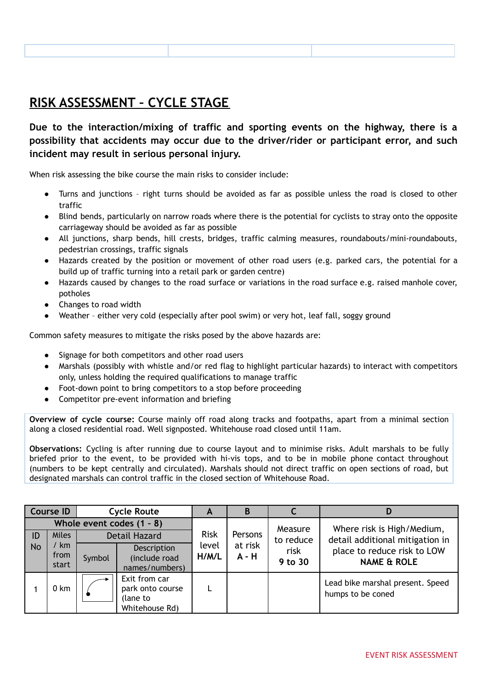# **RISK ASSESSMENT – CYCLE STAGE**

**Due to the interaction/mixing of traffic and sporting events on the highway, there is a possibility that accidents may occur due to the driver/rider or participant error, and such incident may result in serious personal injury.**

When risk assessing the bike course the main risks to consider include:

- Turns and junctions right turns should be avoided as far as possible unless the road is closed to other traffic
- Blind bends, particularly on narrow roads where there is the potential for cyclists to stray onto the opposite carriageway should be avoided as far as possible
- All junctions, sharp bends, hill crests, bridges, traffic calming measures, roundabouts/mini-roundabouts, pedestrian crossings, traffic signals
- Hazards created by the position or movement of other road users (e.g. parked cars, the potential for a build up of traffic turning into a retail park or garden centre)
- Hazards caused by changes to the road surface or variations in the road surface e.g. raised manhole cover, potholes
- Changes to road width
- Weather either very cold (especially after pool swim) or very hot, leaf fall, soggy ground

Common safety measures to mitigate the risks posed by the above hazards are:

- Signage for both competitors and other road users
- Marshals (possibly with whistle and/or red flag to highlight particular hazards) to interact with competitors only, unless holding the required qualifications to manage traffic
- Foot-down point to bring competitors to a stop before proceeding
- Competitor pre-event information and briefing

**Overview of cycle course:** Course mainly off road along tracks and footpaths, apart from a minimal section along a closed residential road. Well signposted. Whitehouse road closed until 11am.

**Observations:** Cycling is after running due to course layout and to minimise risks. Adult marshals to be fully briefed prior to the event, to be provided with hi-vis tops, and to be in mobile phone contact throughout (numbers to be kept centrally and circulated). Marshals should not direct traffic on open sections of road, but designated marshals can control traffic in the closed section of Whitehouse Road.

|           | <b>Course ID</b>      |        | <b>Cycle Route</b>                                              | A                                    | B               |                                                       |                                                               |
|-----------|-----------------------|--------|-----------------------------------------------------------------|--------------------------------------|-----------------|-------------------------------------------------------|---------------------------------------------------------------|
| ID        | <b>Miles</b>          |        | Whole event codes $(1 - 8)$<br><b>Detail Hazard</b>             | <b>Risk</b>                          | Persons         | Measure<br>to reduce                                  | Where risk is High/Medium,<br>detail additional mitigation in |
| <b>No</b> | ' km<br>from<br>start | Symbol | Description<br>(include road<br>names/numbers)                  | at risk<br>level<br>$A - H$<br>H/M/L | risk<br>9 to 30 | place to reduce risk to LOW<br><b>NAME &amp; ROLE</b> |                                                               |
|           | 0 km                  |        | Exit from car<br>park onto course<br>(lane to<br>Whitehouse Rd) |                                      |                 |                                                       | Lead bike marshal present. Speed<br>humps to be coned         |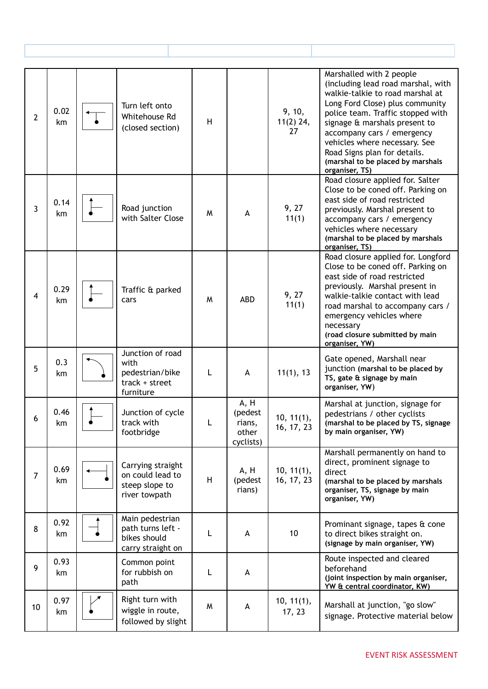| $\overline{2}$ | 0.02<br>km | Turn left onto<br>Whitehouse Rd<br>(closed section)                        | H |                                                 | 9, 10,<br>$11(2)$ 24,<br>27 | Marshalled with 2 people<br>(including lead road marshal, with<br>walkie-talkie to road marshal at<br>Long Ford Close) plus community<br>police team. Traffic stopped with<br>signage & marshals present to<br>accompany cars / emergency<br>vehicles where necessary. See<br>Road Signs plan for details.<br>(marshal to be placed by marshals<br>organiser, TS) |
|----------------|------------|----------------------------------------------------------------------------|---|-------------------------------------------------|-----------------------------|-------------------------------------------------------------------------------------------------------------------------------------------------------------------------------------------------------------------------------------------------------------------------------------------------------------------------------------------------------------------|
| 3              | 0.14<br>km | Road junction<br>with Salter Close                                         | W | A                                               | 9, 27<br>11(1)              | Road closure applied for. Salter<br>Close to be coned off. Parking on<br>east side of road restricted<br>previously. Marshal present to<br>accompany cars / emergency<br>vehicles where necessary<br>(marshal to be placed by marshals<br>organiser, TS)                                                                                                          |
| $\overline{4}$ | 0.29<br>km | Traffic & parked<br>cars                                                   | M | <b>ABD</b>                                      | 9, 27<br>11(1)              | Road closure applied for. Longford<br>Close to be coned off. Parking on<br>east side of road restricted<br>previously. Marshal present in<br>walkie-talkie contact with lead<br>road marshal to accompany cars /<br>emergency vehicles where<br>necessary<br>(road closure submitted by main<br>organiser, YW)                                                    |
| 5              | 0.3<br>km  | Junction of road<br>with<br>pedestrian/bike<br>track + street<br>furniture | L | A                                               | 11(1), 13                   | Gate opened, Marshall near<br>junction (marshal to be placed by<br>TS, gate & signage by main<br>organiser, YW)                                                                                                                                                                                                                                                   |
| 6              | 0.46<br>km | Junction of cycle<br>track with<br>footbridge                              | L | A, H<br>(pedest<br>rians,<br>other<br>cyclists) | 10, 11(1),<br>16, 17, 23    | Marshal at junction, signage for<br>pedestrians / other cyclists<br>(marshal to be placed by TS, signage<br>by main organiser, YW)                                                                                                                                                                                                                                |
| $\overline{7}$ | 0.69<br>km | Carrying straight<br>on could lead to<br>steep slope to<br>river towpath   | H | A, H<br>(pedest<br>rians)                       | 10, 11(1),<br>16, 17, 23    | Marshall permanently on hand to<br>direct, prominent signage to<br>direct<br>(marshal to be placed by marshals<br>organiser, TS, signage by main<br>organiser, YW)                                                                                                                                                                                                |
| 8              | 0.92<br>km | Main pedestrian<br>path turns left -<br>bikes should<br>carry straight on  | L | A                                               | 10                          | Prominant signage, tapes & cone<br>to direct bikes straight on.<br>(signage by main organiser, YW)                                                                                                                                                                                                                                                                |
| 9              | 0.93<br>km | Common point<br>for rubbish on<br>path                                     | L | A                                               |                             | Route inspected and cleared<br>beforehand<br>(joint inspection by main organiser,<br>YW & central coordinator, KW)                                                                                                                                                                                                                                                |
| 10             | 0.97<br>km | Right turn with<br>wiggle in route,<br>followed by slight                  | W | A                                               | 10, 11(1),<br>17, 23        | Marshall at junction, "go slow"<br>signage. Protective material below                                                                                                                                                                                                                                                                                             |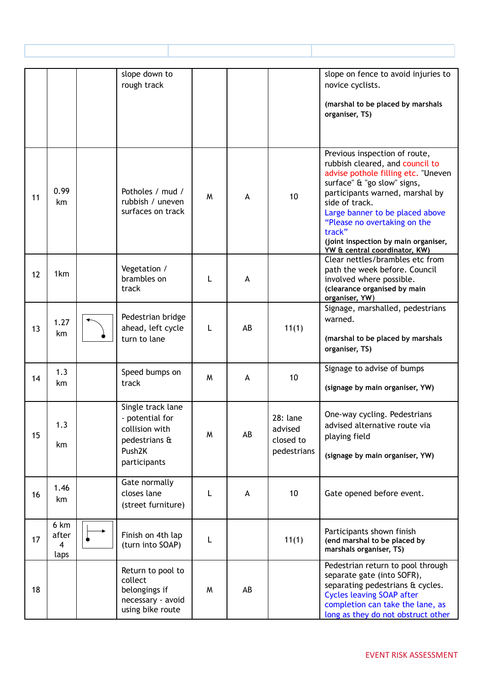|    |                            | slope down to<br>rough track                                                                                  |   |    |                                                 | slope on fence to avoid injuries to<br>novice cyclists.<br>(marshal to be placed by marshals<br>organiser, TS)                                                                                                                                                                                                                                    |
|----|----------------------------|---------------------------------------------------------------------------------------------------------------|---|----|-------------------------------------------------|---------------------------------------------------------------------------------------------------------------------------------------------------------------------------------------------------------------------------------------------------------------------------------------------------------------------------------------------------|
| 11 | 0.99<br>km                 | Potholes / mud /<br>rubbish / uneven<br>surfaces on track                                                     | M | A  | 10                                              | Previous inspection of route,<br>rubbish cleared, and council to<br>advise pothole filling etc. "Uneven<br>surface" & "go slow" signs,<br>participants warned, marshal by<br>side of track.<br>Large banner to be placed above<br>"Please no overtaking on the<br>track"<br>(joint inspection by main organiser,<br>YW & central coordinator, KW) |
| 12 | 1km                        | Vegetation /<br>brambles on<br>track                                                                          |   | A  |                                                 | Clear nettles/brambles etc from<br>path the week before. Council<br>involved where possible.<br>(clearance organised by main<br>organiser, YW)                                                                                                                                                                                                    |
| 13 | 1.27<br>km                 | Pedestrian bridge<br>ahead, left cycle<br>turn to lane                                                        | L | AB | 11(1)                                           | Signage, marshalled, pedestrians<br>warned.<br>(marshal to be placed by marshals<br>organiser, TS)                                                                                                                                                                                                                                                |
| 14 | 1.3<br>km                  | Speed bumps on<br>track                                                                                       | M | A  | 10                                              | Signage to advise of bumps<br>(signage by main organiser, YW)                                                                                                                                                                                                                                                                                     |
| 15 | 1.3<br>km                  | Single track lane<br>- potential for<br>collision with<br>pedestrians &<br>Push <sub>2K</sub><br>participants | W | AB | 28: lane<br>advised<br>closed to<br>pedestrians | One-way cycling. Pedestrians<br>advised alternative route via<br>playing field<br>(signage by main organiser, YW)                                                                                                                                                                                                                                 |
| 16 | 1.46<br>km                 | Gate normally<br>closes lane<br>(street furniture)                                                            | L | A  | 10                                              | Gate opened before event.                                                                                                                                                                                                                                                                                                                         |
| 17 | 6 km<br>after<br>4<br>laps | Finish on 4th lap<br>(turn into SOAP)                                                                         |   |    | 11(1)                                           | Participants shown finish<br>(end marshal to be placed by<br>marshals organiser, TS)                                                                                                                                                                                                                                                              |
| 18 |                            | Return to pool to<br>collect<br>belongings if<br>necessary - avoid<br>using bike route                        | W | AB |                                                 | Pedestrian return to pool through<br>separate gate (into SOFR),<br>separating pedestrians & cycles.<br><b>Cycles leaving SOAP after</b><br>completion can take the lane, as<br>long as they do not obstruct other                                                                                                                                 |

Т

Т

Г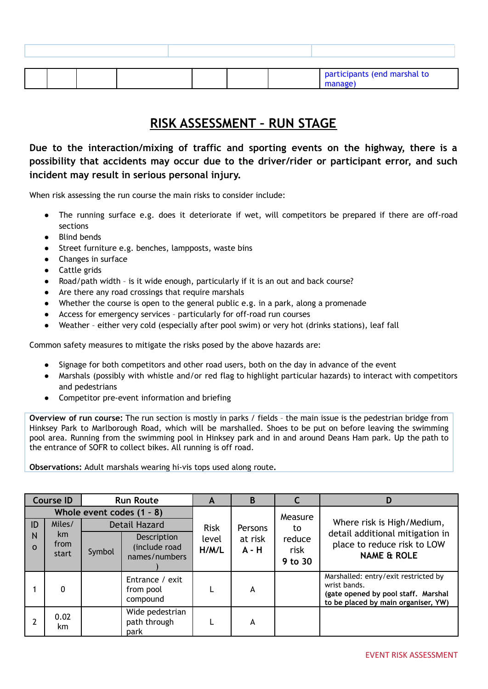|  |  |  | participants (end marshal to |
|--|--|--|------------------------------|

#### **RISK ASSESSMENT – RUN STAGE**

**Due to the interaction/mixing of traffic and sporting events on the highway, there is a possibility that accidents may occur due to the driver/rider or participant error, and such incident may result in serious personal injury.**

When risk assessing the run course the main risks to consider include:

- The running surface e.g. does it deteriorate if wet, will competitors be prepared if there are off-road sections
- **Blind bends**
- Street furniture e.g. benches, lampposts, waste bins
- Changes in surface
- Cattle grids
- Road/path width is it wide enough, particularly if it is an out and back course?
- Are there any road crossings that require marshals
- Whether the course is open to the general public e.g. in a park, along a promenade
- Access for emergency services particularly for off-road run courses
- Weather either very cold (especially after pool swim) or very hot (drinks stations), leaf fall

Common safety measures to mitigate the risks posed by the above hazards are:

- Signage for both competitors and other road users, both on the day in advance of the event
- Marshals (possibly with whistle and/or red flag to highlight particular hazards) to interact with competitors and pedestrians
- Competitor pre-event information and briefing

**Overview of run course:** The run section is mostly in parks / fields – the main issue is the pedestrian bridge from Hinksey Park to Marlborough Road, which will be marshalled. Shoes to be put on before leaving the swimming pool area. Running from the swimming pool in Hinksey park and in and around Deans Ham park. Up the path to the entrance of SOFR to collect bikes. All running is off road.

**Observations:** Adult marshals wearing hi-vis tops used along route**.**

|               | <b>Course ID</b>    |                                                     | <b>Run Route</b>                              |                | B                  |                           | D                                                                                                                                  |
|---------------|---------------------|-----------------------------------------------------|-----------------------------------------------|----------------|--------------------|---------------------------|------------------------------------------------------------------------------------------------------------------------------------|
| ID            | Miles/              | Whole event codes $(1 - 8)$<br><b>Detail Hazard</b> |                                               | <b>Risk</b>    | Persons            | Measure<br>to             | Where risk is High/Medium,                                                                                                         |
| N<br>$\Omega$ | km<br>from<br>start | Symbol                                              | Description<br>(include road<br>names/numbers | level<br>H/M/L | at risk<br>$A - H$ | reduce<br>risk<br>9 to 30 | detail additional mitigation in<br>place to reduce risk to LOW<br><b>NAME &amp; ROLE</b>                                           |
|               | 0                   |                                                     | Entrance / exit<br>from pool<br>compound      |                | A                  |                           | Marshalled: entry/exit restricted by<br>wrist bands.<br>(gate opened by pool staff. Marshal<br>to be placed by main organiser, YW) |
|               | 0.02<br>km.         |                                                     | Wide pedestrian<br>path through<br>park       |                | A                  |                           |                                                                                                                                    |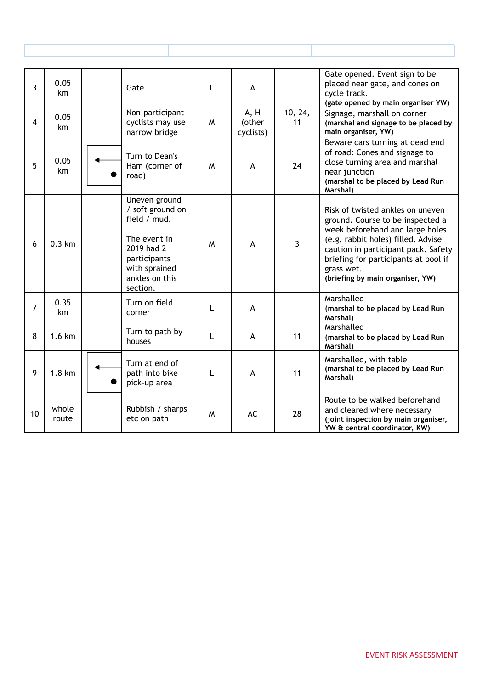| $\overline{3}$ | 0.05<br>km       | Gate                                                                                                                                           | L | A                           |                | Gate opened. Event sign to be<br>placed near gate, and cones on<br>cycle track.<br>(gate opened by main organiser YW)                                                                                                                                                          |
|----------------|------------------|------------------------------------------------------------------------------------------------------------------------------------------------|---|-----------------------------|----------------|--------------------------------------------------------------------------------------------------------------------------------------------------------------------------------------------------------------------------------------------------------------------------------|
| $\overline{4}$ | 0.05<br>km       | Non-participant<br>cyclists may use<br>narrow bridge                                                                                           | W | A, H<br>(other<br>cyclists) | 10, 24,<br>11  | Signage, marshall on corner<br>(marshal and signage to be placed by<br>main organiser, YW)                                                                                                                                                                                     |
| 5              | 0.05<br>km       | Turn to Dean's<br>Ham (corner of<br>road)                                                                                                      | M | $\overline{A}$              | 24             | Beware cars turning at dead end<br>of road: Cones and signage to<br>close turning area and marshal<br>near junction<br>(marshal to be placed by Lead Run<br>Marshal)                                                                                                           |
| 6              | $0.3 \text{ km}$ | Uneven ground<br>/ soft ground on<br>field / mud.<br>The event in<br>2019 had 2<br>participants<br>with sprained<br>ankles on this<br>section. | M | $\overline{A}$              | $\overline{3}$ | Risk of twisted ankles on uneven<br>ground. Course to be inspected a<br>week beforehand and large holes<br>(e.g. rabbit holes) filled. Advise<br>caution in participant pack. Safety<br>briefing for participants at pool if<br>grass wet.<br>(briefing by main organiser, YW) |
| $\overline{7}$ | 0.35<br>km       | Turn on field<br>corner                                                                                                                        | L | A                           |                | Marshalled<br>(marshal to be placed by Lead Run<br>Marshal)                                                                                                                                                                                                                    |
| 8              | 1.6 km           | Turn to path by<br>houses                                                                                                                      | L | A                           | 11             | Marshalled<br>(marshal to be placed by Lead Run<br>Marshal)                                                                                                                                                                                                                    |
| 9              | $1.8 \text{ km}$ | Turn at end of<br>path into bike<br>pick-up area                                                                                               | L | A                           | 11             | Marshalled, with table<br>(marshal to be placed by Lead Run<br>Marshal)                                                                                                                                                                                                        |
| 10             | whole<br>route   | Rubbish / sharps<br>etc on path                                                                                                                | M | AC                          | 28             | Route to be walked beforehand<br>and cleared where necessary<br>(joint inspection by main organiser,<br>YW & central coordinator, KW)                                                                                                                                          |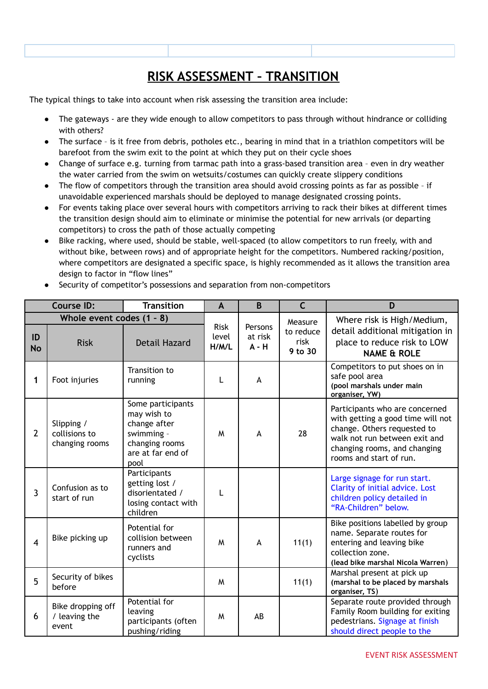# **RISK ASSESSMENT – TRANSITION**

The typical things to take into account when risk assessing the transition area include:

- The gateways are they wide enough to allow competitors to pass through without hindrance or colliding with others?
- The surface is it free from debris, potholes etc., bearing in mind that in a triathlon competitors will be barefoot from the swim exit to the point at which they put on their cycle shoes
- Change of surface e.g. turning from tarmac path into a grass-based transition area even in dry weather the water carried from the swim on wetsuits/costumes can quickly create slippery conditions
- The flow of competitors through the transition area should avoid crossing points as far as possible if unavoidable experienced marshals should be deployed to manage designated crossing points.
- For events taking place over several hours with competitors arriving to rack their bikes at different times the transition design should aim to eliminate or minimise the potential for new arrivals (or departing competitors) to cross the path of those actually competing
- Bike racking, where used, should be stable, well-spaced (to allow competitors to run freely, with and without bike, between rows) and of appropriate height for the competitors. Numbered racking/position, where competitors are designated a specific space, is highly recommended as it allows the transition area design to factor in "flow lines"
- Security of competitor's possessions and separation from non-competitors

|                 | <b>Course ID:</b>                             | <b>Transition</b>                                                                                             | $\mathbf{A}$                  | B                             | $\mathsf{C}$                            | D                                                                                                                                                                                              |
|-----------------|-----------------------------------------------|---------------------------------------------------------------------------------------------------------------|-------------------------------|-------------------------------|-----------------------------------------|------------------------------------------------------------------------------------------------------------------------------------------------------------------------------------------------|
| ID<br><b>No</b> | Whole event codes (1 - 8)<br><b>Risk</b>      | <b>Detail Hazard</b>                                                                                          | <b>Risk</b><br>level<br>H/M/L | Persons<br>at risk<br>$A - H$ | Measure<br>to reduce<br>risk<br>9 to 30 | Where risk is High/Medium,<br>detail additional mitigation in<br>place to reduce risk to LOW<br><b>NAME &amp; ROLE</b>                                                                         |
| 1               | Foot injuries                                 | Transition to<br>running                                                                                      |                               | A                             |                                         | Competitors to put shoes on in<br>safe pool area<br>(pool marshals under main<br>organiser, YW)                                                                                                |
| $\overline{2}$  | Slipping /<br>collisions to<br>changing rooms | Some participants<br>may wish to<br>change after<br>swimming -<br>changing rooms<br>are at far end of<br>pool | M                             | A                             | 28                                      | Participants who are concerned<br>with getting a good time will not<br>change. Others requested to<br>walk not run between exit and<br>changing rooms, and changing<br>rooms and start of run. |
| $\overline{3}$  | Confusion as to<br>start of run               | Participants<br>getting lost /<br>disorientated /<br>losing contact with<br>children                          | L                             |                               |                                         | Large signage for run start.<br>Clarity of initial advice. Lost<br>children policy detailed in<br>"RA-Children" below.                                                                         |
| $\overline{4}$  | Bike picking up                               | Potential for<br>collision between<br>runners and<br>cyclists                                                 | M                             | A                             | 11(1)                                   | Bike positions labelled by group<br>name. Separate routes for<br>entering and leaving bike<br>collection zone.<br>(lead bike marshal Nicola Warren)                                            |
| 5               | Security of bikes<br>before                   |                                                                                                               | M                             |                               | 11(1)                                   | Marshal present at pick up<br>(marshal to be placed by marshals<br>organiser, TS)                                                                                                              |
| 6               | Bike dropping off<br>/ leaving the<br>event   | Potential for<br>leaving<br>participants (often<br>pushing/riding                                             | M                             | AB                            |                                         | Separate route provided through<br>Family Room building for exiting<br>pedestrians. Signage at finish<br>should direct people to the                                                           |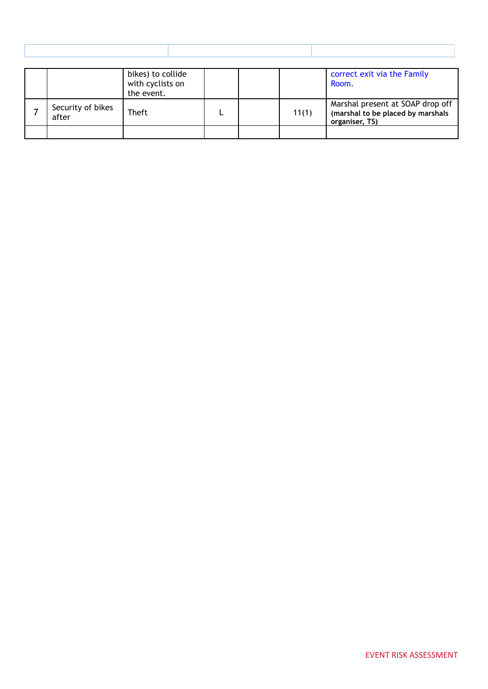|                            | bikes) to collide<br>with cyclists on<br>the event. |  |       | correct exit via the Family<br>Room.                                                    |
|----------------------------|-----------------------------------------------------|--|-------|-----------------------------------------------------------------------------------------|
| Security of bikes<br>after | <b>Theft</b>                                        |  | 11(1) | Marshal present at SOAP drop off<br>(marshal to be placed by marshals<br>organiser, TS) |
|                            |                                                     |  |       |                                                                                         |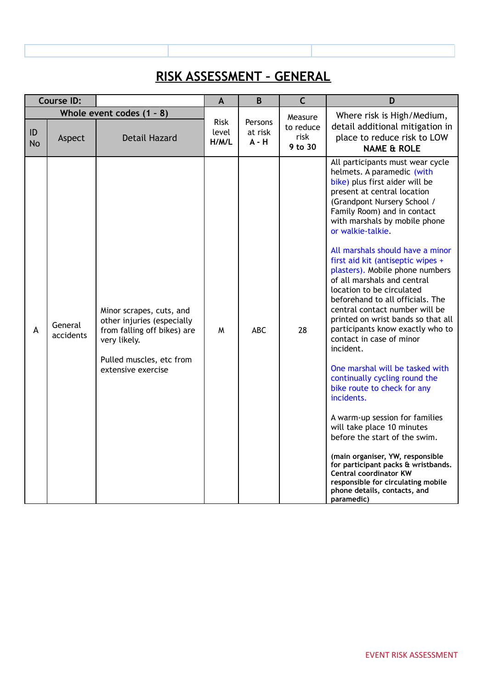## **RISK ASSESSMENT – GENERAL**

|                 | <b>Course ID:</b>    |                                                                                                                                                         | A                             | B                             | $\mathsf{C}$                 | D                                                                                                                                                                                                                                                                                                                                                                                                                                                                                                                                                                                                                                                                                                                                                                                                                                                                                                                                                                                                                                      |
|-----------------|----------------------|---------------------------------------------------------------------------------------------------------------------------------------------------------|-------------------------------|-------------------------------|------------------------------|----------------------------------------------------------------------------------------------------------------------------------------------------------------------------------------------------------------------------------------------------------------------------------------------------------------------------------------------------------------------------------------------------------------------------------------------------------------------------------------------------------------------------------------------------------------------------------------------------------------------------------------------------------------------------------------------------------------------------------------------------------------------------------------------------------------------------------------------------------------------------------------------------------------------------------------------------------------------------------------------------------------------------------------|
|                 |                      | Whole event codes $(1 - 8)$                                                                                                                             |                               |                               | Measure                      | Where risk is High/Medium,                                                                                                                                                                                                                                                                                                                                                                                                                                                                                                                                                                                                                                                                                                                                                                                                                                                                                                                                                                                                             |
| ID<br><b>No</b> | Aspect               | <b>Detail Hazard</b>                                                                                                                                    | <b>Risk</b><br>level<br>H/M/L | Persons<br>at risk<br>$A - H$ | to reduce<br>risk<br>9 to 30 | detail additional mitigation in<br>place to reduce risk to LOW<br><b>NAME &amp; ROLE</b>                                                                                                                                                                                                                                                                                                                                                                                                                                                                                                                                                                                                                                                                                                                                                                                                                                                                                                                                               |
| A               | General<br>accidents | Minor scrapes, cuts, and<br>other injuries (especially<br>from falling off bikes) are<br>very likely.<br>Pulled muscles, etc from<br>extensive exercise | W                             | ABC                           | 28                           | All participants must wear cycle<br>helmets. A paramedic (with<br>bike) plus first aider will be<br>present at central location<br>(Grandpont Nursery School /<br>Family Room) and in contact<br>with marshals by mobile phone<br>or walkie-talkie.<br>All marshals should have a minor<br>first aid kit (antiseptic wipes +<br>plasters). Mobile phone numbers<br>of all marshals and central<br>location to be circulated<br>beforehand to all officials. The<br>central contact number will be<br>printed on wrist bands so that all<br>participants know exactly who to<br>contact in case of minor<br>incident.<br>One marshal will be tasked with<br>continually cycling round the<br>bike route to check for any<br>incidents.<br>A warm-up session for families<br>will take place 10 minutes<br>before the start of the swim.<br>(main organiser, YW, responsible<br>for participant packs & wristbands.<br><b>Central coordinator KW</b><br>responsible for circulating mobile<br>phone details, contacts, and<br>paramedic) |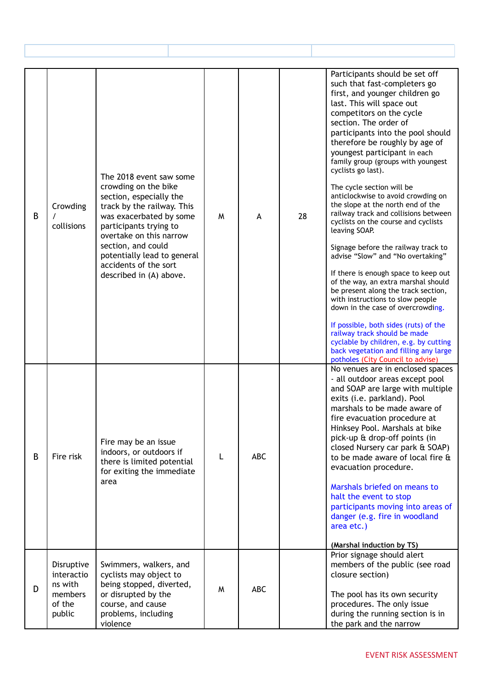| B | Crowding<br>collisions                                             | The 2018 event saw some<br>crowding on the bike<br>section, especially the<br>track by the railway. This<br>was exacerbated by some<br>participants trying to<br>overtake on this narrow<br>section, and could<br>potentially lead to general<br>accidents of the sort<br>described in (A) above. | M | A          | 28 | Participants should be set off<br>such that fast-completers go<br>first, and younger children go<br>last. This will space out<br>competitors on the cycle<br>section. The order of<br>participants into the pool should<br>therefore be roughly by age of<br>youngest participant in each<br>family group (groups with youngest<br>cyclists go last).<br>The cycle section will be<br>anticlockwise to avoid crowding on<br>the slope at the north end of the<br>railway track and collisions between<br>cyclists on the course and cyclists<br>leaving SOAP.<br>Signage before the railway track to<br>advise "Slow" and "No overtaking"<br>If there is enough space to keep out<br>of the way, an extra marshal should<br>be present along the track section,<br>with instructions to slow people<br>down in the case of overcrowding.<br>If possible, both sides (ruts) of the<br>railway track should be made<br>cyclable by children, e.g. by cutting<br>back vegetation and filling any large<br>potholes (City Council to advise) |
|---|--------------------------------------------------------------------|---------------------------------------------------------------------------------------------------------------------------------------------------------------------------------------------------------------------------------------------------------------------------------------------------|---|------------|----|------------------------------------------------------------------------------------------------------------------------------------------------------------------------------------------------------------------------------------------------------------------------------------------------------------------------------------------------------------------------------------------------------------------------------------------------------------------------------------------------------------------------------------------------------------------------------------------------------------------------------------------------------------------------------------------------------------------------------------------------------------------------------------------------------------------------------------------------------------------------------------------------------------------------------------------------------------------------------------------------------------------------------------------|
| B | Fire risk                                                          | Fire may be an issue<br>indoors, or outdoors if<br>there is limited potential<br>for exiting the immediate<br>area                                                                                                                                                                                | L | <b>ABC</b> |    | No venues are in enclosed spaces<br>- all outdoor areas except pool<br>and SOAP are large with multiple<br>exits (i.e. parkland). Pool<br>marshals to be made aware of<br>fire evacuation procedure at<br>Hinksey Pool. Marshals at bike<br>pick-up & drop-off points (in<br>closed Nursery car park & SOAP)<br>to be made aware of local fire &<br>evacuation procedure.<br>Marshals briefed on means to<br>halt the event to stop<br>participants moving into areas of<br>danger (e.g. fire in woodland<br>area etc.)<br>(Marshal induction by TS)                                                                                                                                                                                                                                                                                                                                                                                                                                                                                     |
| D | Disruptive<br>interactio<br>ns with<br>members<br>of the<br>public | Swimmers, walkers, and<br>cyclists may object to<br>being stopped, diverted,<br>or disrupted by the<br>course, and cause<br>problems, including<br>violence                                                                                                                                       | W | <b>ABC</b> |    | Prior signage should alert<br>members of the public (see road<br>closure section)<br>The pool has its own security<br>procedures. The only issue<br>during the running section is in<br>the park and the narrow                                                                                                                                                                                                                                                                                                                                                                                                                                                                                                                                                                                                                                                                                                                                                                                                                          |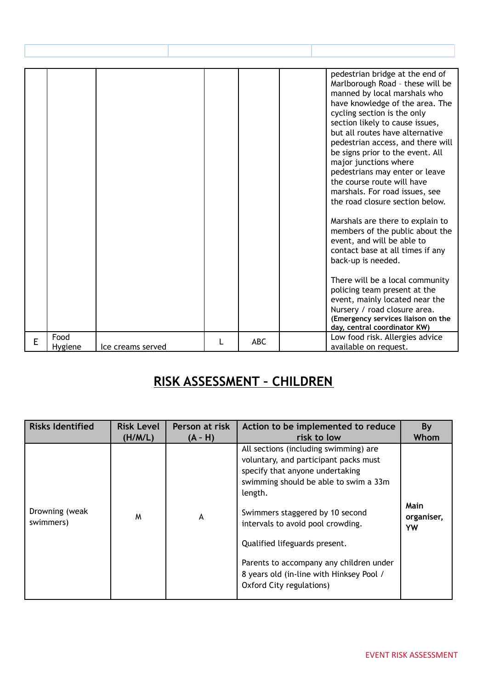|   |                              |  |                       | pedestrian bridge at the end of<br>Marlborough Road - these will be<br>manned by local marshals who<br>have knowledge of the area. The<br>cycling section is the only<br>section likely to cause issues,<br>but all routes have alternative<br>pedestrian access, and there will<br>be signs prior to the event. All<br>major junctions where<br>pedestrians may enter or leave<br>the course route will have<br>marshals. For road issues, see<br>the road closure section below.<br>Marshals are there to explain to<br>members of the public about the<br>event, and will be able to<br>contact base at all times if any<br>back-up is needed.<br>There will be a local community<br>policing team present at the<br>event, mainly located near the<br>Nursery / road closure area.<br>(Emergency services liaison on the<br>day, central coordinator KW) |
|---|------------------------------|--|-----------------------|--------------------------------------------------------------------------------------------------------------------------------------------------------------------------------------------------------------------------------------------------------------------------------------------------------------------------------------------------------------------------------------------------------------------------------------------------------------------------------------------------------------------------------------------------------------------------------------------------------------------------------------------------------------------------------------------------------------------------------------------------------------------------------------------------------------------------------------------------------------|
| E | Food                         |  | <b>ABC</b>            | Low food risk. Allergies advice                                                                                                                                                                                                                                                                                                                                                                                                                                                                                                                                                                                                                                                                                                                                                                                                                              |
|   | Hygiene<br>Ice creams served |  | available on request. |                                                                                                                                                                                                                                                                                                                                                                                                                                                                                                                                                                                                                                                                                                                                                                                                                                                              |

# **RISK ASSESSMENT – CHILDREN**

| <b>Risks Identified</b>     | <b>Risk Level</b> | Person at risk | Action to be implemented to reduce                                                                                                                                                                                                                                                                                                                                                                | By                              |
|-----------------------------|-------------------|----------------|---------------------------------------------------------------------------------------------------------------------------------------------------------------------------------------------------------------------------------------------------------------------------------------------------------------------------------------------------------------------------------------------------|---------------------------------|
|                             | (H/M/L)           | $(A - H)$      | risk to low                                                                                                                                                                                                                                                                                                                                                                                       | Whom                            |
| Drowning (weak<br>swimmers) | M                 | A              | All sections (including swimming) are<br>voluntary, and participant packs must<br>specify that anyone undertaking<br>swimming should be able to swim a 33m<br>length.<br>Swimmers staggered by 10 second<br>intervals to avoid pool crowding.<br>Qualified lifeguards present.<br>Parents to accompany any children under<br>8 years old (in-line with Hinksey Pool /<br>Oxford City regulations) | <b>Main</b><br>organiser,<br>YW |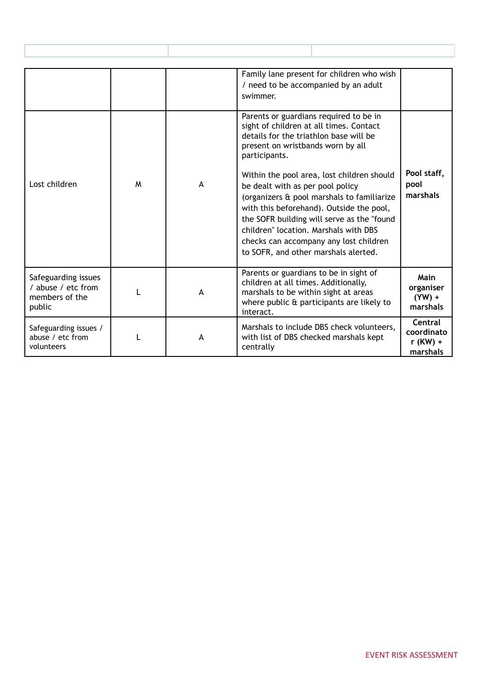|                                                                       |   |   | Family lane present for children who wish<br>/ need to be accompanied by an adult<br>swimmer.                                                                                                                                                                                                                                                     |                                                 |
|-----------------------------------------------------------------------|---|---|---------------------------------------------------------------------------------------------------------------------------------------------------------------------------------------------------------------------------------------------------------------------------------------------------------------------------------------------------|-------------------------------------------------|
|                                                                       |   |   | Parents or guardians required to be in<br>sight of children at all times. Contact<br>details for the triathlon base will be<br>present on wristbands worn by all<br>participants.                                                                                                                                                                 |                                                 |
| Lost children                                                         | M | A | Within the pool area, lost children should<br>be dealt with as per pool policy<br>(organizers & pool marshals to familiarize<br>with this beforehand). Outside the pool,<br>the SOFR building will serve as the "found<br>children" location. Marshals with DBS<br>checks can accompany any lost children<br>to SOFR, and other marshals alerted. | Pool staff,<br>pool<br>marshals                 |
| Safeguarding issues<br>/ abuse / etc from<br>members of the<br>public |   | A | Parents or guardians to be in sight of<br>children at all times. Additionally,<br>marshals to be within sight at areas<br>where public & participants are likely to<br>interact.                                                                                                                                                                  | Main<br>organiser<br>$(YW) +$<br>marshals       |
| Safeguarding issues /<br>abuse / etc from<br>volunteers               |   | A | Marshals to include DBS check volunteers,<br>with list of DBS checked marshals kept<br>centrally                                                                                                                                                                                                                                                  | Central<br>coordinato<br>$r$ (KW) +<br>marshals |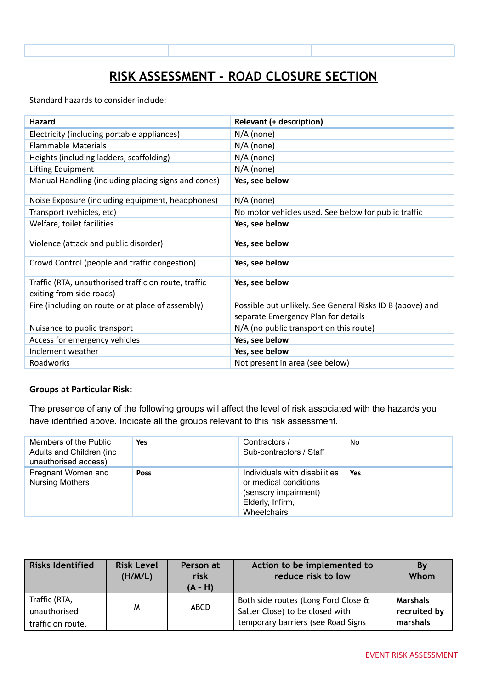# **RISK ASSESSMENT – ROAD CLOSURE SECTION**

Standard hazards to consider include:

| <b>Hazard</b>                                                                    | <b>Relevant (+ description)</b>                                                                  |
|----------------------------------------------------------------------------------|--------------------------------------------------------------------------------------------------|
| Electricity (including portable appliances)                                      | $N/A$ (none)                                                                                     |
| <b>Flammable Materials</b>                                                       | $N/A$ (none)                                                                                     |
| Heights (including ladders, scaffolding)                                         | $N/A$ (none)                                                                                     |
| Lifting Equipment                                                                | $N/A$ (none)                                                                                     |
| Manual Handling (including placing signs and cones)                              | Yes, see below                                                                                   |
| Noise Exposure (including equipment, headphones)                                 | $N/A$ (none)                                                                                     |
| Transport (vehicles, etc)                                                        | No motor vehicles used. See below for public traffic                                             |
| Welfare, toilet facilities                                                       | Yes, see below                                                                                   |
| Violence (attack and public disorder)                                            | Yes, see below                                                                                   |
| Crowd Control (people and traffic congestion)                                    | Yes, see below                                                                                   |
| Traffic (RTA, unauthorised traffic on route, traffic<br>exiting from side roads) | Yes, see below                                                                                   |
| Fire (including on route or at place of assembly)                                | Possible but unlikely. See General Risks ID B (above) and<br>separate Emergency Plan for details |
| Nuisance to public transport                                                     | $N/A$ (no public transport on this route)                                                        |
| Access for emergency vehicles                                                    | Yes, see below                                                                                   |
| Inclement weather                                                                | Yes, see below                                                                                   |
| Roadworks                                                                        | Not present in area (see below)                                                                  |

#### **Groups at Particular Risk:**

The presence of any of the following groups will affect the level of risk associated with the hazards you have identified above. Indicate all the groups relevant to this risk assessment.

| Members of the Public<br>Adults and Children (inc.<br>unauthorised access) | Yes         | Contractors /<br>Sub-contractors / Staff                                                                          | No. |
|----------------------------------------------------------------------------|-------------|-------------------------------------------------------------------------------------------------------------------|-----|
| Pregnant Women and<br><b>Nursing Mothers</b>                               | <b>Poss</b> | Individuals with disabilities<br>or medical conditions<br>(sensory impairment)<br>Elderly, Infirm,<br>Wheelchairs | Yes |

| <b>Risks Identified</b>       | <b>Risk Level</b><br>(H/M/L) | Person at<br>risk<br>$(A - H)$ | Action to be implemented to<br>reduce risk to low                      | Bv<br>Whom                      |
|-------------------------------|------------------------------|--------------------------------|------------------------------------------------------------------------|---------------------------------|
| Traffic (RTA,<br>unauthorised | M                            | ABCD                           | Both side routes (Long Ford Close &<br>Salter Close) to be closed with | <b>Marshals</b><br>recruited by |
| traffic on route,             |                              |                                | temporary barriers (see Road Signs                                     | marshals                        |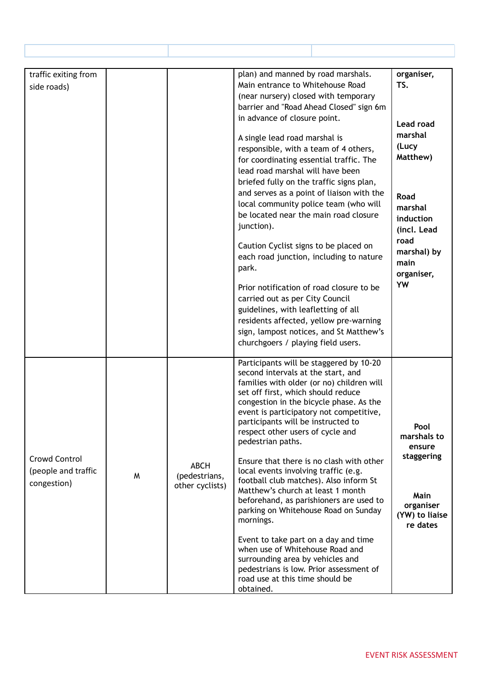| traffic exiting from |   |                 | plan) and manned by road marshals.                                             | organiser,            |
|----------------------|---|-----------------|--------------------------------------------------------------------------------|-----------------------|
| side roads)          |   |                 | Main entrance to Whitehouse Road                                               | TS.                   |
|                      |   |                 | (near nursery) closed with temporary                                           |                       |
|                      |   |                 | barrier and "Road Ahead Closed" sign 6m                                        |                       |
|                      |   |                 | in advance of closure point.                                                   | Lead road             |
|                      |   |                 |                                                                                | marshal               |
|                      |   |                 | A single lead road marshal is<br>responsible, with a team of 4 others,         | (Lucy                 |
|                      |   |                 | for coordinating essential traffic. The                                        | Matthew)              |
|                      |   |                 | lead road marshal will have been                                               |                       |
|                      |   |                 | briefed fully on the traffic signs plan,                                       |                       |
|                      |   |                 | and serves as a point of liaison with the                                      | <b>Road</b>           |
|                      |   |                 | local community police team (who will                                          | marshal               |
|                      |   |                 | be located near the main road closure                                          | induction             |
|                      |   |                 | junction).                                                                     | (incl. Lead           |
|                      |   |                 |                                                                                | road                  |
|                      |   |                 | Caution Cyclist signs to be placed on                                          | marshal) by           |
|                      |   |                 | each road junction, including to nature                                        | main                  |
|                      |   |                 | park.                                                                          | organiser,            |
|                      |   |                 | Prior notification of road closure to be                                       | YW                    |
|                      |   |                 | carried out as per City Council                                                |                       |
|                      |   |                 | guidelines, with leafletting of all                                            |                       |
|                      |   |                 | residents affected, yellow pre-warning                                         |                       |
|                      |   |                 | sign, lampost notices, and St Matthew's                                        |                       |
|                      |   |                 | churchgoers / playing field users.                                             |                       |
|                      |   |                 | Participants will be staggered by 10-20                                        |                       |
|                      |   |                 | second intervals at the start, and                                             |                       |
|                      |   |                 | families with older (or no) children will                                      |                       |
|                      |   |                 | set off first, which should reduce                                             |                       |
|                      |   |                 | congestion in the bicycle phase. As the                                        |                       |
|                      |   |                 | event is participatory not competitive,<br>participants will be instructed to  |                       |
|                      |   |                 | respect other users of cycle and                                               | Pool                  |
|                      |   |                 | pedestrian paths.                                                              | marshals to<br>ensure |
| Crowd Control        |   |                 |                                                                                | staggering            |
|                      |   | <b>ABCH</b>     | Ensure that there is no clash with other                                       |                       |
| (people and traffic  | W | (pedestrians,   | local events involving traffic (e.g.<br>football club matches). Also inform St |                       |
| congestion)          |   | other cyclists) | Matthew's church at least 1 month                                              |                       |
|                      |   |                 | beforehand, as parishioners are used to                                        | Main<br>organiser     |
|                      |   |                 | parking on Whitehouse Road on Sunday                                           | (YW) to liaise        |
|                      |   |                 | mornings.                                                                      | re dates              |
|                      |   |                 | Event to take part on a day and time                                           |                       |
|                      |   |                 | when use of Whitehouse Road and                                                |                       |
|                      |   |                 | surrounding area by vehicles and                                               |                       |
|                      |   |                 | pedestrians is low. Prior assessment of                                        |                       |
|                      |   |                 | road use at this time should be                                                |                       |
|                      |   |                 | obtained.                                                                      |                       |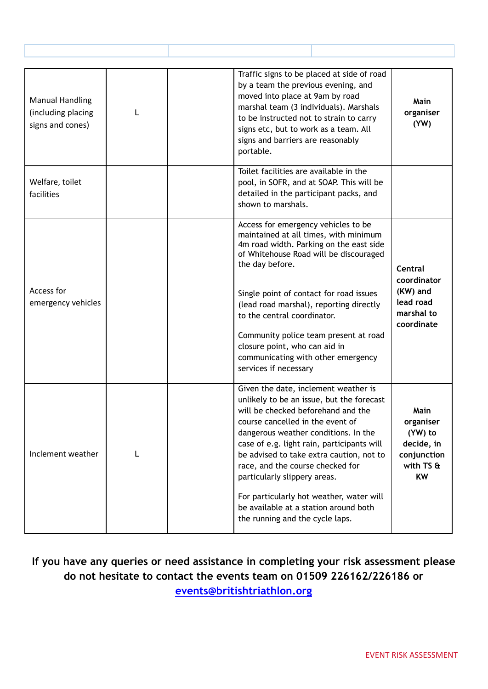| <b>Manual Handling</b><br>(including placing<br>signs and cones) | L | Traffic signs to be placed at side of road<br>by a team the previous evening, and<br>moved into place at 9am by road<br>marshal team (3 individuals). Marshals<br>to be instructed not to strain to carry<br>signs etc, but to work as a team. All<br>signs and barriers are reasonably<br>portable.                                                                                                                                                                                      | Main<br>organiser<br>(YW)                                                                  |
|------------------------------------------------------------------|---|-------------------------------------------------------------------------------------------------------------------------------------------------------------------------------------------------------------------------------------------------------------------------------------------------------------------------------------------------------------------------------------------------------------------------------------------------------------------------------------------|--------------------------------------------------------------------------------------------|
| Welfare, toilet<br>facilities                                    |   | Toilet facilities are available in the<br>pool, in SOFR, and at SOAP. This will be<br>detailed in the participant packs, and<br>shown to marshals.                                                                                                                                                                                                                                                                                                                                        |                                                                                            |
| Access for<br>emergency vehicles                                 |   | Access for emergency vehicles to be<br>maintained at all times, with minimum<br>4m road width. Parking on the east side<br>of Whitehouse Road will be discouraged<br>the day before.<br>Single point of contact for road issues<br>(lead road marshal), reporting directly<br>to the central coordinator.<br>Community police team present at road<br>closure point, who can aid in<br>communicating with other emergency<br>services if necessary                                        | <b>Central</b><br>coordinator<br>(KW) and<br>lead road<br>marshal to<br>coordinate         |
| Inclement weather                                                | L | Given the date, inclement weather is<br>unlikely to be an issue, but the forecast<br>will be checked beforehand and the<br>course cancelled in the event of<br>dangerous weather conditions. In the<br>case of e.g. light rain, participants will<br>be advised to take extra caution, not to<br>race, and the course checked for<br>particularly slippery areas.<br>For particularly hot weather, water will<br>be available at a station around both<br>the running and the cycle laps. | <b>Main</b><br>organiser<br>(YW) to<br>decide, in<br>conjunction<br>with TS &<br><b>KW</b> |

**If you have any queries or need assistance in completing your risk assessment please do not hesitate to contact the events team on 01509 226162/226186 or [events@britishtriathlon.org](mailto:events@britishtriathlon.org)**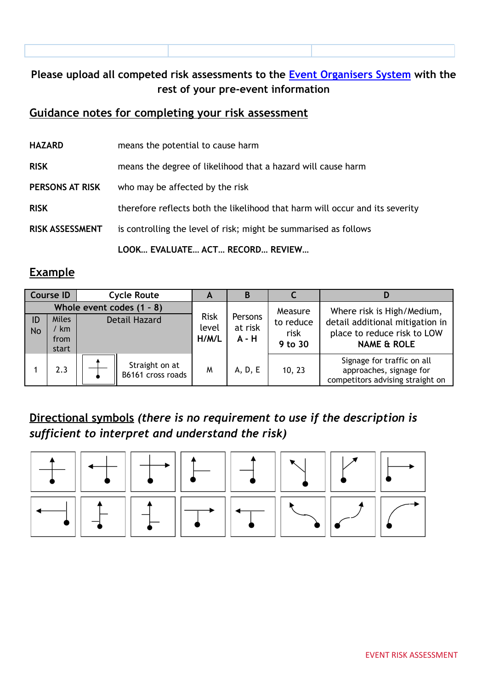| Please upload all competed risk assessments to the Event Organisers System with the |  |
|-------------------------------------------------------------------------------------|--|
| rest of your pre-event information                                                  |  |

#### **Guidance notes for completing your risk assessment**

| <b>HAZARD</b>          | means the potential to cause harm                                            |
|------------------------|------------------------------------------------------------------------------|
| <b>RISK</b>            | means the degree of likelihood that a hazard will cause harm                 |
| PERSONS AT RISK        | who may be affected by the risk                                              |
| <b>RISK</b>            | therefore reflects both the likelihood that harm will occur and its severity |
| <b>RISK ASSESSMENT</b> | is controlling the level of risk; might be summarised as follows             |
|                        |                                                                              |

**LOOK… EVALUATE… ACT… RECORD… REVIEW…**

#### **Example**

|                 | <b>Course ID</b>                      | <b>Cycle Route</b>                                | A                             | B                             |                                         |                                                                                                                        |
|-----------------|---------------------------------------|---------------------------------------------------|-------------------------------|-------------------------------|-----------------------------------------|------------------------------------------------------------------------------------------------------------------------|
| ID<br><b>No</b> | <b>Miles</b><br>′ km<br>from<br>start | Whole event codes (1 - 8)<br><b>Detail Hazard</b> | <b>Risk</b><br>level<br>H/M/L | Persons<br>at risk<br>$A - H$ | Measure<br>to reduce<br>risk<br>9 to 30 | Where risk is High/Medium,<br>detail additional mitigation in<br>place to reduce risk to LOW<br><b>NAME &amp; ROLE</b> |
|                 | 2.3                                   | Straight on at<br>B6161 cross roads               | M                             | A, D, E                       | 10, 23                                  | Signage for traffic on all<br>approaches, signage for<br>competitors advising straight on                              |

### **Directional symbols** *(there is no requirement to use if the description is sufficient to interpret and understand the risk)*